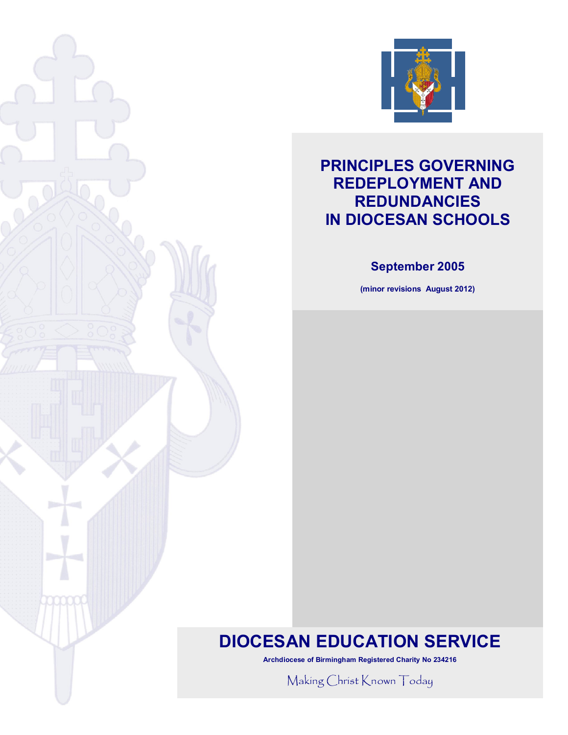

## **PRINCIPLES GOVERNING REDEPLOYMENT AND REDUNDANCIES IN DIOCESAN SCHOOLS**

### **September 2005**

**(minor revisions August 2012)**

# **DIOCESAN EDUCATION SERVICE**

**Archdiocese of Birmingham Registered Charity No 234216**

Making Christ Known Today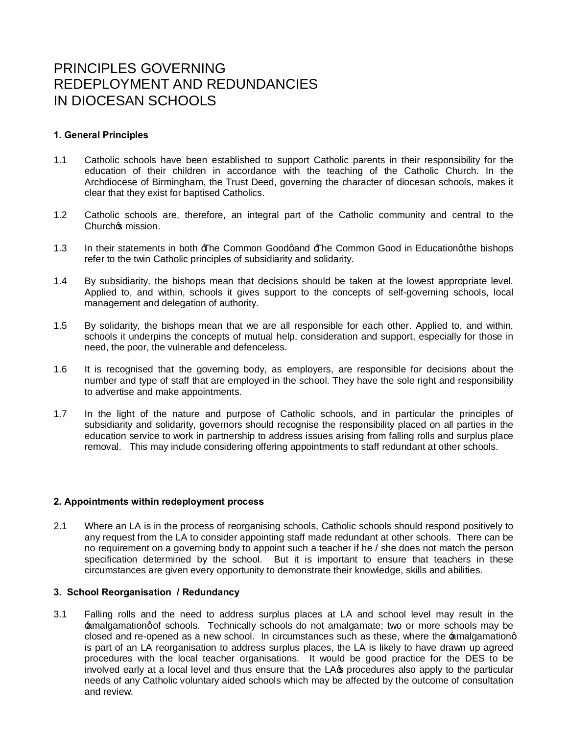## PRINCIPLES GOVERNING REDEPLOYMENT AND REDUNDANCIES IN DIOCESAN SCHOOLS

#### **1. General Principles**

- 1.1 Catholic schools have been established to support Catholic parents in their responsibility for the education of their children in accordance with the teaching of the Catholic Church. In the Archdiocese of Birmingham, the Trust Deed, governing the character of diocesan schools, makes it clear that they exist for baptised Catholics.
- 1.2 Catholic schools are, therefore, an integral part of the Catholic community and central to the Churchos mission.
- 1.3 In their statements in both  $\exists$  The Common Goodgand  $\exists$  The Common Good in Educationg the bishops refer to the twin Catholic principles of subsidiarity and solidarity.
- 1.4 By subsidiarity, the bishops mean that decisions should be taken at the lowest appropriate level. Applied to, and within, schools it gives support to the concepts of self-governing schools, local management and delegation of authority.
- 1.5 By solidarity, the bishops mean that we are all responsible for each other. Applied to, and within, schools it underpins the concepts of mutual help, consideration and support, especially for those in need, the poor, the vulnerable and defenceless.
- 1.6 It is recognised that the governing body, as employers, are responsible for decisions about the number and type of staff that are employed in the school. They have the sole right and responsibility to advertise and make appointments.
- 1.7 In the light of the nature and purpose of Catholic schools, and in particular the principles of subsidiarity and solidarity, governors should recognise the responsibility placed on all parties in the education service to work in partnership to address issues arising from falling rolls and surplus place removal. This may include considering offering appointments to staff redundant at other schools.

#### **2. Appointments within redeployment process**

2.1 Where an LA is in the process of reorganising schools, Catholic schools should respond positively to any request from the LA to consider appointing staff made redundant at other schools. There can be no requirement on a governing body to appoint such a teacher if he / she does not match the person specification determined by the school. But it is important to ensure that teachers in these circumstances are given every opportunity to demonstrate their knowledge, skills and abilities.

#### **3. School Reorganisation / Redundancy**

3.1 Falling rolls and the need to address surplus places at LA and school level may result in the  $\pm$ malgamationg of schools. Technically schools do not amalgamate; two or more schools may be closed and re-opened as a new school. In circumstances such as these, where the amalgamationg is part of an LA reorganisation to address surplus places, the LA is likely to have drawn up agreed procedures with the local teacher organisations. It would be good practice for the DES to be involved early at a local level and thus ensure that the LA $\alpha$  procedures also apply to the particular needs of any Catholic voluntary aided schools which may be affected by the outcome of consultation and review.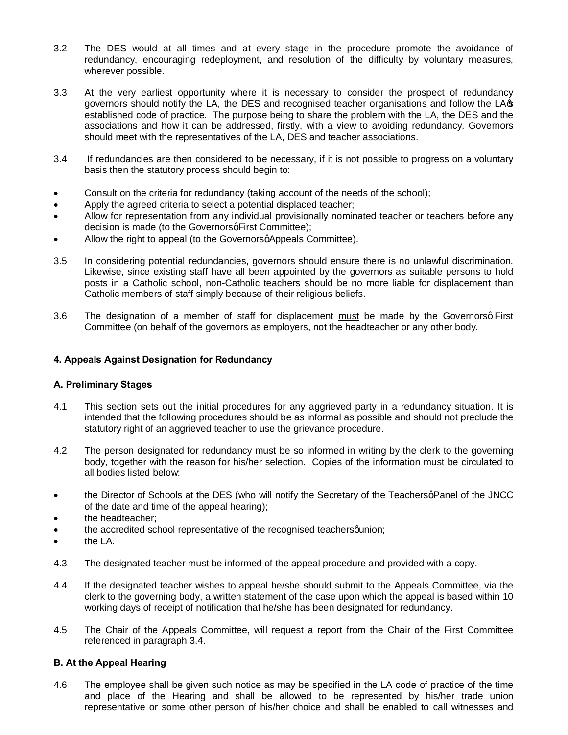- 3.2 The DES would at all times and at every stage in the procedure promote the avoidance of redundancy, encouraging redeployment, and resolution of the difficulty by voluntary measures, wherever possible.
- 3.3 At the very earliest opportunity where it is necessary to consider the prospect of redundancy governors should notify the LA, the DES and recognised teacher organisations and follow the LA $\sigma$ established code of practice. The purpose being to share the problem with the LA, the DES and the associations and how it can be addressed, firstly, with a view to avoiding redundancy. Governors should meet with the representatives of the LA, DES and teacher associations.
- 3.4 If redundancies are then considered to be necessary, if it is not possible to progress on a voluntary basis then the statutory process should begin to:
- Consult on the criteria for redundancy (taking account of the needs of the school);
- Apply the agreed criteria to select a potential displaced teacher;
- Allow for representation from any individual provisionally nominated teacher or teachers before any decision is made (to the Governors q First Committee);
- Allow the right to appeal (to the Governors appeals Committee).
- 3.5 In considering potential redundancies, governors should ensure there is no unlawful discrimination. Likewise, since existing staff have all been appointed by the governors as suitable persons to hold posts in a Catholic school, non-Catholic teachers should be no more liable for displacement than Catholic members of staff simply because of their religious beliefs.
- 3.6 The designation of a member of staff for displacement must be made by the Governorsq First Committee (on behalf of the governors as employers, not the headteacher or any other body.

#### **4. Appeals Against Designation for Redundancy**

#### **A. Preliminary Stages**

- 4.1 This section sets out the initial procedures for any aggrieved party in a redundancy situation. It is intended that the following procedures should be as informal as possible and should not preclude the statutory right of an aggrieved teacher to use the grievance procedure.
- 4.2 The person designated for redundancy must be so informed in writing by the clerk to the governing body, together with the reason for his/her selection. Copies of the information must be circulated to all bodies listed below:
- the Director of Schools at the DES (who will notify the Secretary of the Teachers q Panel of the JNCC of the date and time of the appeal hearing);
- · the headteacher;
- the accredited school representative of the recognised teachers quinon;
- the LA.
- 4.3 The designated teacher must be informed of the appeal procedure and provided with a copy.
- 4.4 If the designated teacher wishes to appeal he/she should submit to the Appeals Committee, via the clerk to the governing body, a written statement of the case upon which the appeal is based within 10 working days of receipt of notification that he/she has been designated for redundancy.
- 4.5 The Chair of the Appeals Committee, will request a report from the Chair of the First Committee referenced in paragraph 3.4.

#### **B. At the Appeal Hearing**

4.6 The employee shall be given such notice as may be specified in the LA code of practice of the time and place of the Hearing and shall be allowed to be represented by his/her trade union representative or some other person of his/her choice and shall be enabled to call witnesses and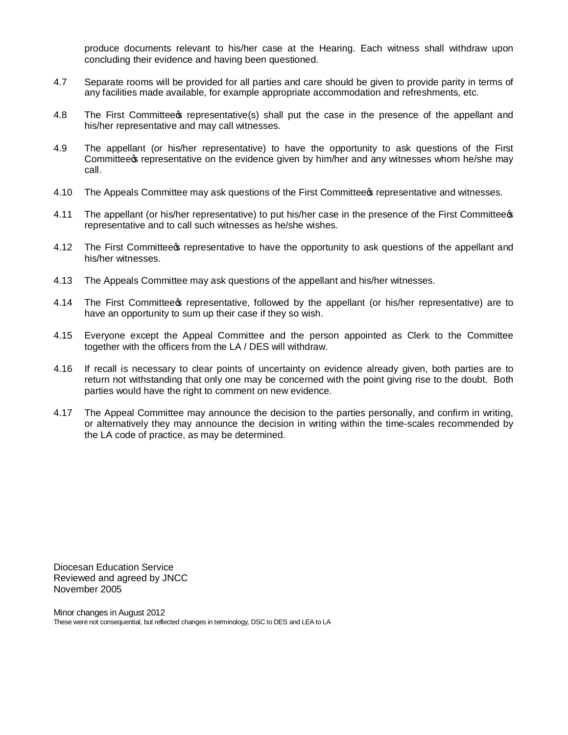produce documents relevant to his/her case at the Hearing. Each witness shall withdraw upon concluding their evidence and having been questioned.

- 4.7 Separate rooms will be provided for all parties and care should be given to provide parity in terms of any facilities made available, for example appropriate accommodation and refreshments, etc.
- 4.8 The First Committee prepresentative (s) shall put the case in the presence of the appellant and his/her representative and may call witnesses.
- 4.9 The appellant (or his/her representative) to have the opportunity to ask questions of the First Committee the representative on the evidence given by him/her and any witnesses whom he/she may call.
- 4.10 The Appeals Committee may ask questions of the First Committee prepresentative and witnesses.
- 4.11 The appellant (or his/her representative) to put his/her case in the presence of the First Committee  $\phi$ representative and to call such witnesses as he/she wishes.
- 4.12 The First Committee prepresentative to have the opportunity to ask questions of the appellant and his/her witnesses.
- 4.13 The Appeals Committee may ask questions of the appellant and his/her witnesses.
- 4.14 The First Committee tepresentative, followed by the appellant (or his/her representative) are to have an opportunity to sum up their case if they so wish.
- 4.15 Everyone except the Appeal Committee and the person appointed as Clerk to the Committee together with the officers from the LA / DES will withdraw.
- 4.16 If recall is necessary to clear points of uncertainty on evidence already given, both parties are to return not withstanding that only one may be concerned with the point giving rise to the doubt. Both parties would have the right to comment on new evidence.
- 4.17 The Appeal Committee may announce the decision to the parties personally, and confirm in writing, or alternatively they may announce the decision in writing within the time-scales recommended by the LA code of practice, as may be determined.

Diocesan Education Service Reviewed and agreed by JNCC November 2005

Minor changes in August 2012 These were not consequential, but reflected changes in terminology, DSC to DES and LEA to LA